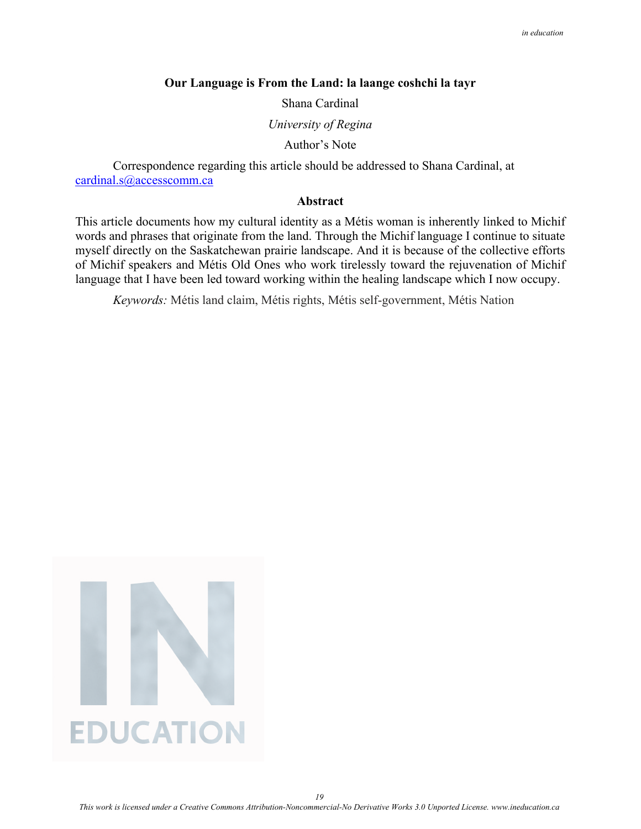### **Our Language is From the Land: la laange coshchi la tayr**

Shana Cardinal

*University of Regina* 

Author's Note

Correspondence regarding this article should be addressed to Shana Cardinal, at [cardinal.s@accesscomm.ca](mailto:cardinal.s@accesscomm.ca)

### **Abstract**

This article documents how my cultural identity as a Métis woman is inherently linked to Michif words and phrases that originate from the land. Through the Michif language I continue to situate myself directly on the Saskatchewan prairie landscape. And it is because of the collective efforts of Michif speakers and Métis Old Ones who work tirelessly toward the rejuvenation of Michif language that I have been led toward working within the healing landscape which I now occupy.

*Keywords:* Métis land claim, Métis rights, Métis self-government, Métis Nation

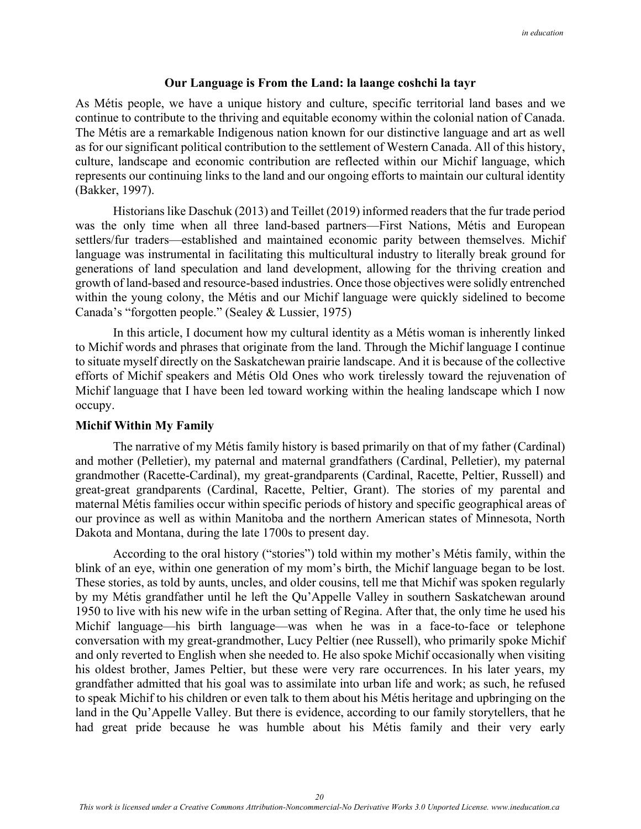## **Our Language is From the Land: la laange coshchi la tayr**

As Métis people, we have a unique history and culture, specific territorial land bases and we continue to contribute to the thriving and equitable economy within the colonial nation of Canada. The Métis are a remarkable Indigenous nation known for our distinctive language and art as well as for our significant political contribution to the settlement of Western Canada. All of this history, culture, landscape and economic contribution are reflected within our Michif language, which represents our continuing links to the land and our ongoing efforts to maintain our cultural identity (Bakker, 1997).

Historians like Daschuk (2013) and Teillet (2019) informed readers that the fur trade period was the only time when all three land-based partners—First Nations, Métis and European settlers/fur traders—established and maintained economic parity between themselves. Michif language was instrumental in facilitating this multicultural industry to literally break ground for generations of land speculation and land development, allowing for the thriving creation and growth of land-based and resource-based industries. Once those objectives were solidly entrenched within the young colony, the Métis and our Michif language were quickly sidelined to become Canada's "forgotten people." (Sealey & Lussier, 1975)

In this article, I document how my cultural identity as a Métis woman is inherently linked to Michif words and phrases that originate from the land. Through the Michif language I continue to situate myself directly on the Saskatchewan prairie landscape. And it is because of the collective efforts of Michif speakers and Métis Old Ones who work tirelessly toward the rejuvenation of Michif language that I have been led toward working within the healing landscape which I now occupy.

## **Michif Within My Family**

 The narrative of my Métis family history is based primarily on that of my father (Cardinal) and mother (Pelletier), my paternal and maternal grandfathers (Cardinal, Pelletier), my paternal grandmother (Racette-Cardinal), my great-grandparents (Cardinal, Racette, Peltier, Russell) and great-great grandparents (Cardinal, Racette, Peltier, Grant). The stories of my parental and maternal Métis families occur within specific periods of history and specific geographical areas of our province as well as within Manitoba and the northern American states of Minnesota, North Dakota and Montana, during the late 1700s to present day.

 According to the oral history ("stories") told within my mother's Métis family, within the blink of an eye, within one generation of my mom's birth, the Michif language began to be lost. These stories, as told by aunts, uncles, and older cousins, tell me that Michif was spoken regularly by my Métis grandfather until he left the Qu'Appelle Valley in southern Saskatchewan around 1950 to live with his new wife in the urban setting of Regina. After that, the only time he used his Michif language—his birth language—was when he was in a face-to-face or telephone conversation with my great-grandmother, Lucy Peltier (nee Russell), who primarily spoke Michif and only reverted to English when she needed to. He also spoke Michif occasionally when visiting his oldest brother, James Peltier, but these were very rare occurrences. In his later years, my grandfather admitted that his goal was to assimilate into urban life and work; as such, he refused to speak Michif to his children or even talk to them about his Métis heritage and upbringing on the land in the Qu'Appelle Valley. But there is evidence, according to our family storytellers, that he had great pride because he was humble about his Métis family and their very early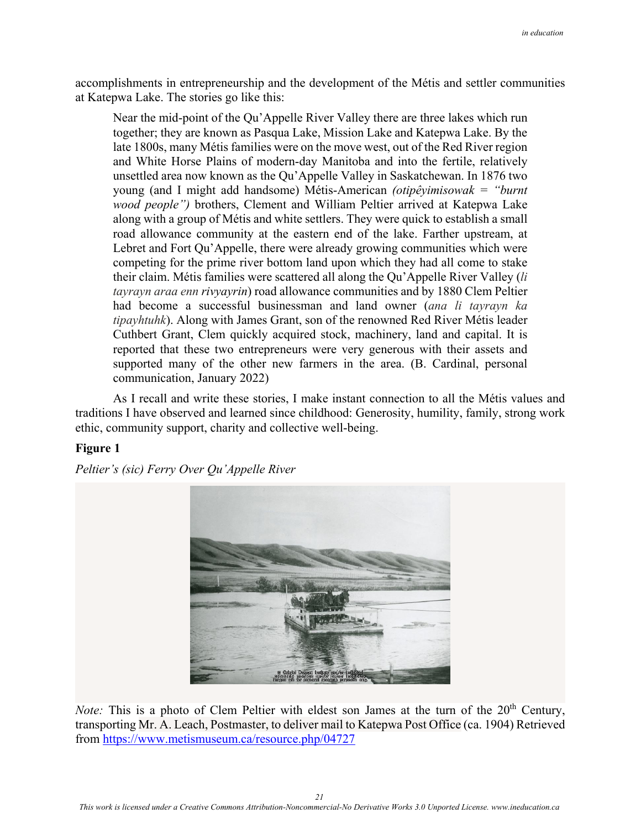accomplishments in entrepreneurship and the development of the Métis and settler communities at Katepwa Lake. The stories go like this:

Near the mid-point of the Qu'Appelle River Valley there are three lakes which run together; they are known as Pasqua Lake, Mission Lake and Katepwa Lake. By the late 1800s, many Métis families were on the move west, out of the Red River region and White Horse Plains of modern-day Manitoba and into the fertile, relatively unsettled area now known as the Qu'Appelle Valley in Saskatchewan. In 1876 two young (and I might add handsome) Métis-American *(otipêyimisowak = "burnt wood people")* brothers, Clement and William Peltier arrived at Katepwa Lake along with a group of Métis and white settlers. They were quick to establish a small road allowance community at the eastern end of the lake. Farther upstream, at Lebret and Fort Qu'Appelle, there were already growing communities which were competing for the prime river bottom land upon which they had all come to stake their claim. Métis families were scattered all along the Qu'Appelle River Valley (*li tayrayn araa enn rivyayrin*) road allowance communities and by 1880 Clem Peltier had become a successful businessman and land owner (*ana li tayrayn ka tipayhtuhk*). Along with James Grant, son of the renowned Red River Métis leader Cuthbert Grant, Clem quickly acquired stock, machinery, land and capital. It is reported that these two entrepreneurs were very generous with their assets and supported many of the other new farmers in the area. (B. Cardinal, personal communication, January 2022)

 As I recall and write these stories, I make instant connection to all the Métis values and traditions I have observed and learned since childhood: Generosity, humility, family, strong work ethic, community support, charity and collective well-being.

# **Figure 1**

*Peltier's (sic) Ferry Over Qu'Appelle River* 



*Note:* This is a photo of Clem Peltier with eldest son James at the turn of the 20<sup>th</sup> Century, transporting Mr. A. Leach, Postmaster, to deliver mail to Katepwa Post Office (ca. 1904) Retrieved from<https://www.metismuseum.ca/resource.php/04727>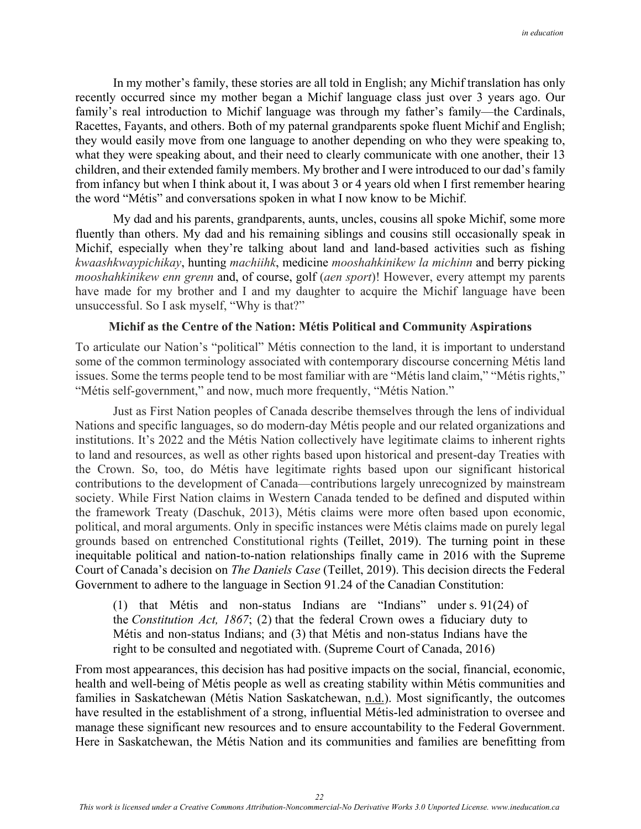In my mother's family, these stories are all told in English; any Michif translation has only recently occurred since my mother began a Michif language class just over 3 years ago. Our family's real introduction to Michif language was through my father's family—the Cardinals, Racettes, Fayants, and others. Both of my paternal grandparents spoke fluent Michif and English; they would easily move from one language to another depending on who they were speaking to, what they were speaking about, and their need to clearly communicate with one another, their 13 children, and their extended family members. My brother and I were introduced to our dad's family from infancy but when I think about it, I was about 3 or 4 years old when I first remember hearing the word "Métis" and conversations spoken in what I now know to be Michif.

 My dad and his parents, grandparents, aunts, uncles, cousins all spoke Michif, some more fluently than others. My dad and his remaining siblings and cousins still occasionally speak in Michif, especially when they're talking about land and land-based activities such as fishing *kwaashkwaypichikay*, hunting *machiihk*, medicine *mooshahkinikew la michinn* and berry picking *mooshahkinikew enn grenn* and, of course, golf (*aen sport*)! However, every attempt my parents have made for my brother and I and my daughter to acquire the Michif language have been unsuccessful. So I ask myself, "Why is that?"

# **Michif as the Centre of the Nation: Métis Political and Community Aspirations**

To articulate our Nation's "political" Métis connection to the land, it is important to understand some of the common terminology associated with contemporary discourse concerning Métis land issues. Some the terms people tend to be most familiar with are "Métis land claim," "Métis rights," "Métis self-government," and now, much more frequently, "Métis Nation."

 Just as First Nation peoples of Canada describe themselves through the lens of individual Nations and specific languages, so do modern-day Métis people and our related organizations and institutions. It's 2022 and the Métis Nation collectively have legitimate claims to inherent rights to land and resources, as well as other rights based upon historical and present-day Treaties with the Crown. So, too, do Métis have legitimate rights based upon our significant historical contributions to the development of Canada—contributions largely unrecognized by mainstream society. While First Nation claims in Western Canada tended to be defined and disputed within the framework Treaty (Daschuk, 2013), Métis claims were more often based upon economic, political, and moral arguments. Only in specific instances were Métis claims made on purely legal grounds based on entrenched Constitutional rights (Teillet, 2019). The turning point in these inequitable political and nation-to-nation relationships finally came in 2016 with the Supreme Court of Canada's decision on *The Daniels Case* (Teillet, 2019). This decision directs the Federal Government to adhere to the language in Section 91.24 of the Canadian Constitution:

(1) that Métis and non-status Indians are "Indians" under s. 91(24) of the *Constitution Act, 1867*; (2) that the federal Crown owes a fiduciary duty to Métis and non-status Indians; and (3) that Métis and non-status Indians have the right to be consulted and negotiated with. (Supreme Court of Canada, 2016)

From most appearances, this decision has had positive impacts on the social, financial, economic, health and well-being of Métis people as well as creating stability within Métis communities and families in Saskatchewan (Métis Nation Saskatchewan, n.d.). Most significantly, the outcomes have resulted in the establishment of a strong, influential Métis-led administration to oversee and manage these significant new resources and to ensure accountability to the Federal Government. Here in Saskatchewan, the Métis Nation and its communities and families are benefitting from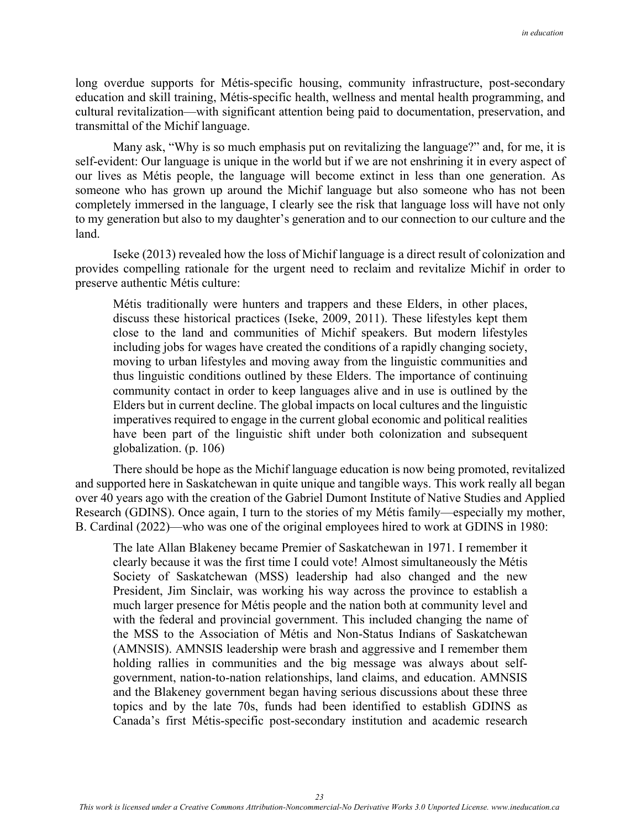long overdue supports for Métis-specific housing, community infrastructure, post-secondary education and skill training, Métis-specific health, wellness and mental health programming, and cultural revitalization—with significant attention being paid to documentation, preservation, and transmittal of the Michif language.

 Many ask, "Why is so much emphasis put on revitalizing the language?" and, for me, it is self-evident: Our language is unique in the world but if we are not enshrining it in every aspect of our lives as Métis people, the language will become extinct in less than one generation. As someone who has grown up around the Michif language but also someone who has not been completely immersed in the language, I clearly see the risk that language loss will have not only to my generation but also to my daughter's generation and to our connection to our culture and the land.

Iseke (2013) revealed how the loss of Michif language is a direct result of colonization and provides compelling rationale for the urgent need to reclaim and revitalize Michif in order to preserve authentic Métis culture:

Métis traditionally were hunters and trappers and these Elders, in other places, discuss these historical practices (Iseke, 2009, 2011). These lifestyles kept them close to the land and communities of Michif speakers. But modern lifestyles including jobs for wages have created the conditions of a rapidly changing society, moving to urban lifestyles and moving away from the linguistic communities and thus linguistic conditions outlined by these Elders. The importance of continuing community contact in order to keep languages alive and in use is outlined by the Elders but in current decline. The global impacts on local cultures and the linguistic imperatives required to engage in the current global economic and political realities have been part of the linguistic shift under both colonization and subsequent globalization. (p. 106)

There should be hope as the Michif language education is now being promoted, revitalized and supported here in Saskatchewan in quite unique and tangible ways. This work really all began over 40 years ago with the creation of the Gabriel Dumont Institute of Native Studies and Applied Research (GDINS). Once again, I turn to the stories of my Métis family—especially my mother, B. Cardinal (2022)—who was one of the original employees hired to work at GDINS in 1980:

The late Allan Blakeney became Premier of Saskatchewan in 1971. I remember it clearly because it was the first time I could vote! Almost simultaneously the Métis Society of Saskatchewan (MSS) leadership had also changed and the new President, Jim Sinclair, was working his way across the province to establish a much larger presence for Métis people and the nation both at community level and with the federal and provincial government. This included changing the name of the MSS to the Association of Métis and Non-Status Indians of Saskatchewan (AMNSIS). AMNSIS leadership were brash and aggressive and I remember them holding rallies in communities and the big message was always about selfgovernment, nation-to-nation relationships, land claims, and education. AMNSIS and the Blakeney government began having serious discussions about these three topics and by the late 70s, funds had been identified to establish GDINS as Canada's first Métis-specific post-secondary institution and academic research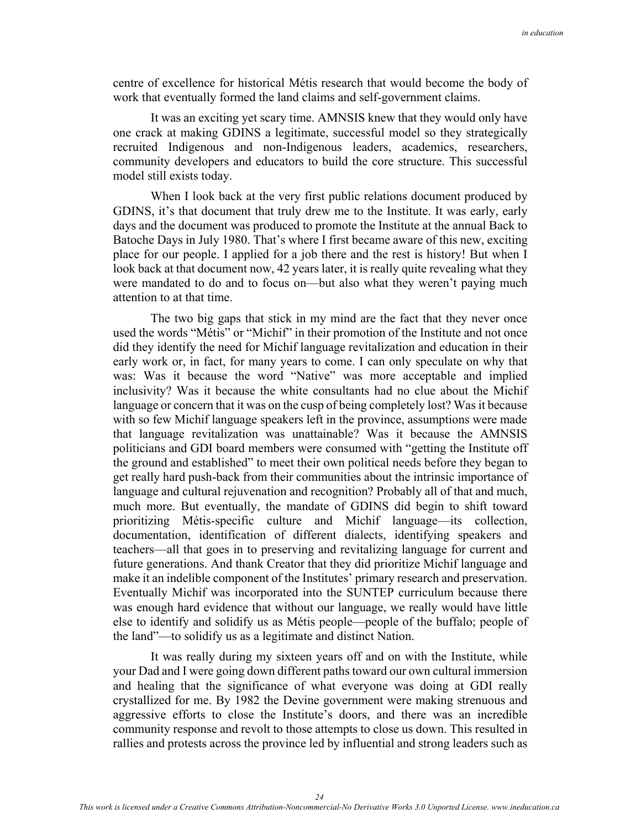centre of excellence for historical Métis research that would become the body of work that eventually formed the land claims and self-government claims.

It was an exciting yet scary time. AMNSIS knew that they would only have one crack at making GDINS a legitimate, successful model so they strategically recruited Indigenous and non-Indigenous leaders, academics, researchers, community developers and educators to build the core structure. This successful model still exists today.

 When I look back at the very first public relations document produced by GDINS, it's that document that truly drew me to the Institute. It was early, early days and the document was produced to promote the Institute at the annual Back to Batoche Days in July 1980. That's where I first became aware of this new, exciting place for our people. I applied for a job there and the rest is history! But when I look back at that document now, 42 years later, it is really quite revealing what they were mandated to do and to focus on—but also what they weren't paying much attention to at that time.

The two big gaps that stick in my mind are the fact that they never once used the words "Métis" or "Michif" in their promotion of the Institute and not once did they identify the need for Michif language revitalization and education in their early work or, in fact, for many years to come. I can only speculate on why that was: Was it because the word "Native" was more acceptable and implied inclusivity? Was it because the white consultants had no clue about the Michif language or concern that it was on the cusp of being completely lost? Was it because with so few Michif language speakers left in the province, assumptions were made that language revitalization was unattainable? Was it because the AMNSIS politicians and GDI board members were consumed with "getting the Institute off the ground and established" to meet their own political needs before they began to get really hard push-back from their communities about the intrinsic importance of language and cultural rejuvenation and recognition? Probably all of that and much, much more. But eventually, the mandate of GDINS did begin to shift toward prioritizing Métis-specific culture and Michif language—its collection, documentation, identification of different dialects, identifying speakers and teachers—all that goes in to preserving and revitalizing language for current and future generations. And thank Creator that they did prioritize Michif language and make it an indelible component of the Institutes' primary research and preservation. Eventually Michif was incorporated into the SUNTEP curriculum because there was enough hard evidence that without our language, we really would have little else to identify and solidify us as Métis people—people of the buffalo; people of the land"—to solidify us as a legitimate and distinct Nation.

It was really during my sixteen years off and on with the Institute, while your Dad and I were going down different paths toward our own cultural immersion and healing that the significance of what everyone was doing at GDI really crystallized for me. By 1982 the Devine government were making strenuous and aggressive efforts to close the Institute's doors, and there was an incredible community response and revolt to those attempts to close us down. This resulted in rallies and protests across the province led by influential and strong leaders such as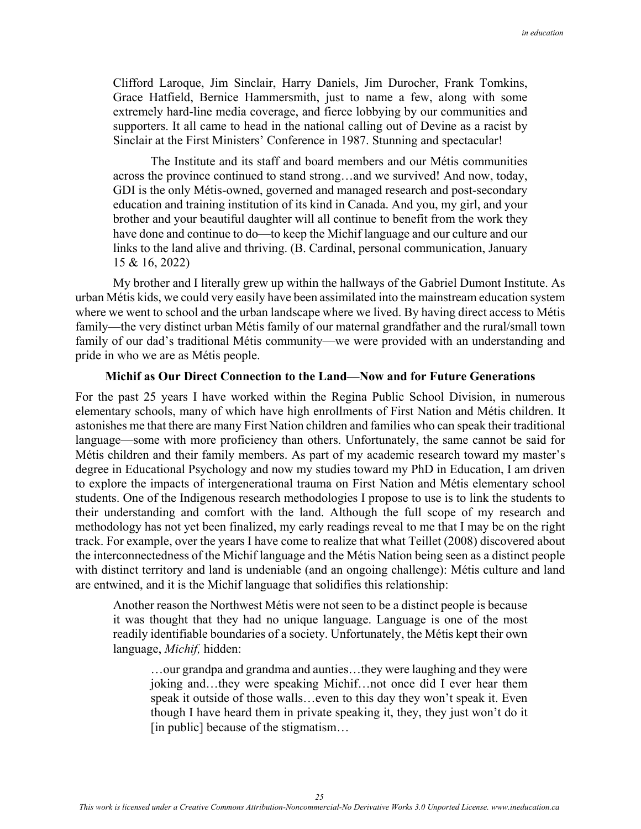Clifford Laroque, Jim Sinclair, Harry Daniels, Jim Durocher, Frank Tomkins, Grace Hatfield, Bernice Hammersmith, just to name a few, along with some extremely hard-line media coverage, and fierce lobbying by our communities and supporters. It all came to head in the national calling out of Devine as a racist by Sinclair at the First Ministers' Conference in 1987. Stunning and spectacular!

The Institute and its staff and board members and our Métis communities across the province continued to stand strong…and we survived! And now, today, GDI is the only Métis-owned, governed and managed research and post-secondary education and training institution of its kind in Canada. And you, my girl, and your brother and your beautiful daughter will all continue to benefit from the work they have done and continue to do—to keep the Michif language and our culture and our links to the land alive and thriving. (B. Cardinal, personal communication, January 15 & 16, 2022)

My brother and I literally grew up within the hallways of the Gabriel Dumont Institute. As urban Métis kids, we could very easily have been assimilated into the mainstream education system where we went to school and the urban landscape where we lived. By having direct access to Métis family—the very distinct urban Métis family of our maternal grandfather and the rural/small town family of our dad's traditional Métis community—we were provided with an understanding and pride in who we are as Métis people.

### **Michif as Our Direct Connection to the Land—Now and for Future Generations**

For the past 25 years I have worked within the Regina Public School Division, in numerous elementary schools, many of which have high enrollments of First Nation and Métis children. It astonishes me that there are many First Nation children and families who can speak their traditional language—some with more proficiency than others. Unfortunately, the same cannot be said for Métis children and their family members. As part of my academic research toward my master's degree in Educational Psychology and now my studies toward my PhD in Education, I am driven to explore the impacts of intergenerational trauma on First Nation and Métis elementary school students. One of the Indigenous research methodologies I propose to use is to link the students to their understanding and comfort with the land. Although the full scope of my research and methodology has not yet been finalized, my early readings reveal to me that I may be on the right track. For example, over the years I have come to realize that what Teillet (2008) discovered about the interconnectedness of the Michif language and the Métis Nation being seen as a distinct people with distinct territory and land is undeniable (and an ongoing challenge): Métis culture and land are entwined, and it is the Michif language that solidifies this relationship:

Another reason the Northwest Métis were not seen to be a distinct people is because it was thought that they had no unique language. Language is one of the most readily identifiable boundaries of a society. Unfortunately, the Métis kept their own language, *Michif,* hidden:

…our grandpa and grandma and aunties…they were laughing and they were joking and…they were speaking Michif…not once did I ever hear them speak it outside of those walls…even to this day they won't speak it. Even though I have heard them in private speaking it, they, they just won't do it [in public] because of the stigmatism…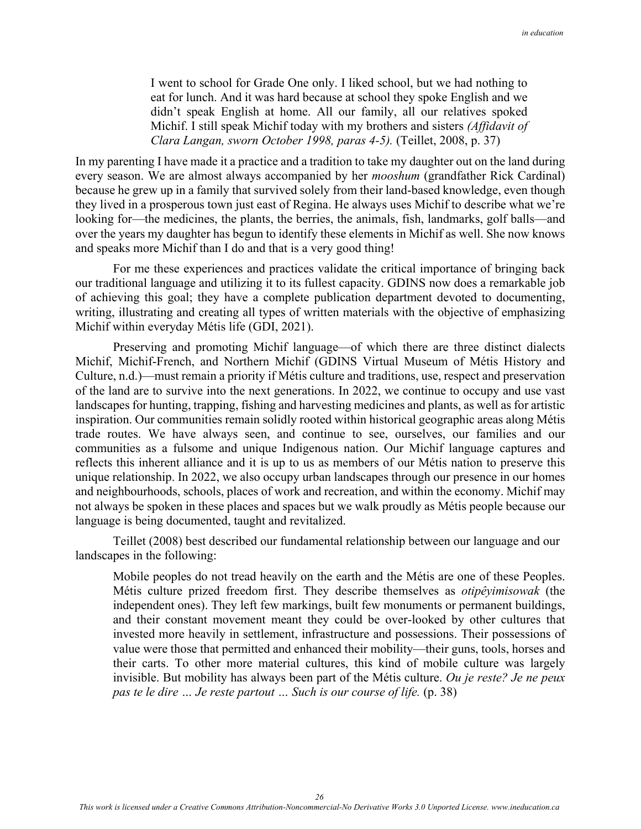I went to school for Grade One only. I liked school, but we had nothing to eat for lunch. And it was hard because at school they spoke English and we didn't speak English at home. All our family, all our relatives spoked Michif. I still speak Michif today with my brothers and sisters *(Affidavit of Clara Langan, sworn October 1998, paras 4-5).* (Teillet, 2008, p. 37)

In my parenting I have made it a practice and a tradition to take my daughter out on the land during every season. We are almost always accompanied by her *mooshum* (grandfather Rick Cardinal) because he grew up in a family that survived solely from their land-based knowledge, even though they lived in a prosperous town just east of Regina. He always uses Michif to describe what we're looking for—the medicines, the plants, the berries, the animals, fish, landmarks, golf balls—and over the years my daughter has begun to identify these elements in Michif as well. She now knows and speaks more Michif than I do and that is a very good thing!

For me these experiences and practices validate the critical importance of bringing back our traditional language and utilizing it to its fullest capacity. GDINS now does a remarkable job of achieving this goal; they have a complete publication department devoted to documenting, writing, illustrating and creating all types of written materials with the objective of emphasizing Michif within everyday Métis life (GDI, 2021).

 Preserving and promoting Michif language—of which there are three distinct dialects Michif, Michif-French, and Northern Michif (GDINS Virtual Museum of Métis History and Culture, n.d.)—must remain a priority if Métis culture and traditions, use, respect and preservation of the land are to survive into the next generations. In 2022, we continue to occupy and use vast landscapes for hunting, trapping, fishing and harvesting medicines and plants, as well as for artistic inspiration. Our communities remain solidly rooted within historical geographic areas along Métis trade routes. We have always seen, and continue to see, ourselves, our families and our communities as a fulsome and unique Indigenous nation. Our Michif language captures and reflects this inherent alliance and it is up to us as members of our Métis nation to preserve this unique relationship. In 2022, we also occupy urban landscapes through our presence in our homes and neighbourhoods, schools, places of work and recreation, and within the economy. Michif may not always be spoken in these places and spaces but we walk proudly as Métis people because our language is being documented, taught and revitalized.

 Teillet (2008) best described our fundamental relationship between our language and our landscapes in the following:

Mobile peoples do not tread heavily on the earth and the Métis are one of these Peoples. Métis culture prized freedom first. They describe themselves as *otipêyimisowak* (the independent ones). They left few markings, built few monuments or permanent buildings, and their constant movement meant they could be over-looked by other cultures that invested more heavily in settlement, infrastructure and possessions. Their possessions of value were those that permitted and enhanced their mobility—their guns, tools, horses and their carts. To other more material cultures, this kind of mobile culture was largely invisible. But mobility has always been part of the Métis culture. *Ou je reste? Je ne peux pas te le dire ... Je reste partout ... Such is our course of life.* (p. 38)